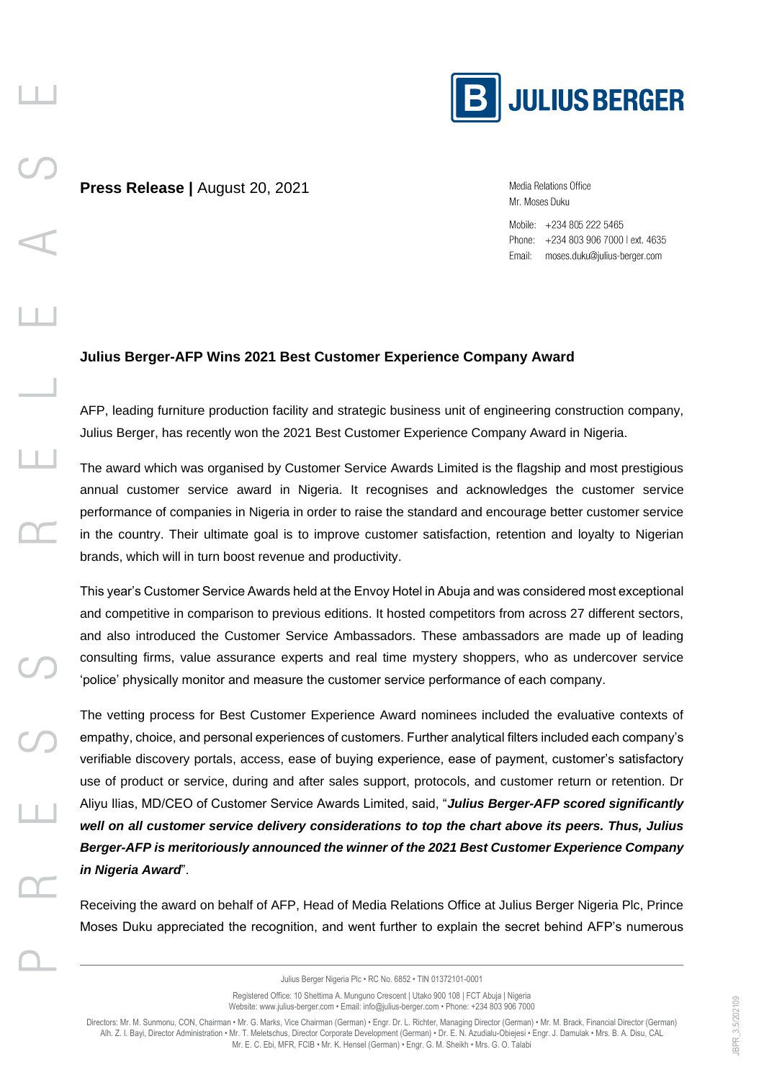

Media Relations Office Mr. Moses Duku

Mobile: +234 805 222 5465 Phone: +234 803 906 7000 l ext. 4635 Email: moses.duku@julius-berger.com

## **Julius Berger-AFP Wins 2021 Best Customer Experience Company Award**

AFP, leading furniture production facility and strategic business unit of engineering construction company, Julius Berger, has recently won the 2021 Best Customer Experience Company Award in Nigeria.

The award which was organised by Customer Service Awards Limited is the flagship and most prestigious annual customer service award in Nigeria. It recognises and acknowledges the customer service performance of companies in Nigeria in order to raise the standard and encourage better customer service in the country. Their ultimate goal is to improve customer satisfaction, retention and loyalty to Nigerian brands, which will in turn boost revenue and productivity.

This year's Customer Service Awards held at the Envoy Hotel in Abuja and was considered most exceptional and competitive in comparison to previous editions. It hosted competitors from across 27 different sectors, and also introduced the Customer Service Ambassadors. These ambassadors are made up of leading consulting firms, value assurance experts and real time mystery shoppers, who as undercover service 'police' physically monitor and measure the customer service performance of each company.

The vetting process for Best Customer Experience Award nominees included the evaluative contexts of empathy, choice, and personal experiences of customers. Further analytical filters included each company's verifiable discovery portals, access, ease of buying experience, ease of payment, customer's satisfactory use of product or service, during and after sales support, protocols, and customer return or retention. Dr Aliyu Ilias, MD/CEO of Customer Service Awards Limited, said, "*Julius Berger-AFP scored significantly well on all customer service delivery considerations to top the chart above its peers. Thus, Julius Berger-AFP is meritoriously announced the winner of the 2021 Best Customer Experience Company in Nigeria Award*".

Receiving the award on behalf of AFP, Head of Media Relations Office at Julius Berger Nigeria Plc, Prince Moses Duku appreciated the recognition, and went further to explain the secret behind AFP's numerous

Julius Berger Nigeria Plc • RC No. 6852 • TIN 01372101-0001

Registered Office: 10 Shettima A. Munguno Crescent | Utako 900 108 | FCT Abuja | Nigeria Website: www.julius-berger.com • Email: info@julius-berger.com • Phone: +234 803 906 7000

Directors: Mr. M. Sunmonu, CON, Chairman • Mr. G. Marks, Vice Chairman (German) • Engr. Dr. L. Richter, Managing Director (German) • Mr. M. Brack, Financial Director (German) Alh. Z. I. Bayi, Director Administration • Mr. T. Meletschus, Director Corporate Development (German) • Dr. E. N. Azudialu-Obiejesi • Engr. J. Damulak • Mrs. B. A. Disu, CAL Mr. E. C. Ebi, MFR, FCIB • Mr. K. Hensel (German) • Engr. G. M. Sheikh • Mrs. G. O. Talabi